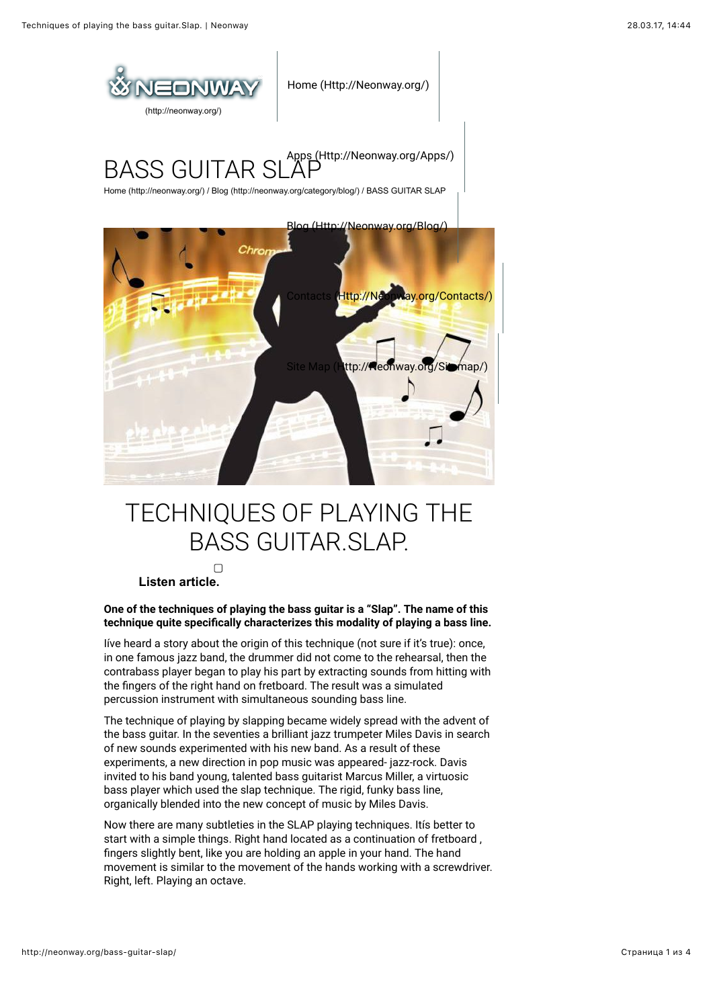

# TECHNIQUES OF PLAYING THE BASS GUITAR.SLAP.

#### $\Box$  **Listen article.**

**One of the techniques of playing the bass guitar is a "Slap". The name of this** technique quite specifically characterizes this modality of playing a bass line.

Iíve heard a story about the origin of this technique (not sure if it's true): once, in one famous jazz band, the drummer did not come to the rehearsal, then the contrabass player began to play his part by extracting sounds from hitting with the fingers of the right hand on fretboard. The result was a simulated percussion instrument with simultaneous sounding bass line.

The technique of playing by slapping became widely spread with the advent of the bass guitar. In the seventies a brilliant jazz trumpeter Miles Davis in search of new sounds experimented with his new band. As a result of these experiments, a new direction in pop music was appeared- jazz-rock. Davis invited to his band young, talented bass guitarist Marcus Miller, a virtuosic bass player which used the slap technique. The rigid, funky bass line, organically blended into the new concept of music by Miles Davis.

Now there are many subtleties in the SLAP playing techniques. Itís better to start with a simple things. Right hand located as a continuation of fretboard , fingers slightly bent, like you are holding an apple in your hand. The hand movement is similar to the movement of the hands working with a screwdriver. Right, left. Playing an octave.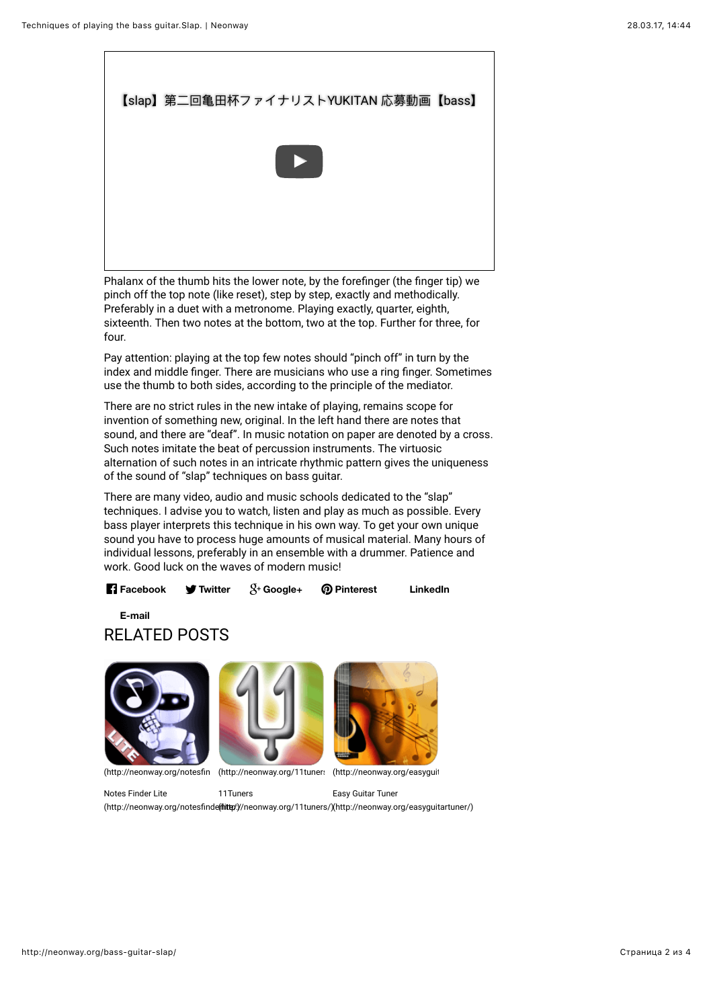

Phalanx of the thumb hits the lower note, by the forefinger (the finger tip) we pinch off the top note (like reset), step by step, exactly and methodically. Preferably in a duet with a metronome. Playing exactly, quarter, eighth, sixteenth. Then two notes at the bottom, two at the top. Further for three, for four.

Pay attention: playing at the top few notes should "pinch off" in turn by the index and middle finger. There are musicians who use a ring finger. Sometimes use the thumb to both sides, according to the principle of the mediator.

There are no strict rules in the new intake of playing, remains scope for invention of something new, original. In the left hand there are notes that sound, and there are "deaf". In music notation on paper are denoted by a cross. Such notes imitate the beat of percussion instruments. The virtuosic alternation of such notes in an intricate rhythmic pattern gives the uniqueness of the sound of "slap" techniques on bass guitar.

There are many video, audio and music schools dedicated to the "slap" techniques. I advise you to watch, listen and play as much as possible. Every bass player interprets this technique in his own way. To get your own unique sound you have to process huge amounts of musical material. Many hours of individual lessons, preferably in an ensemble with a drummer. Patience and work. Good luck on the waves of modern music!

**Facebook Twitter Google+ Pinterest LinkedIn**

RELATED POSTS **E-mail**







(http://neonway.org/notesfin (http://neonway.org/11tuner: (http://neonway.org/easyguit

Notes Finder Lite

11Tuners

Easy Guitar Tuner

(http://neonway.org/notesfinde(**//iittp**://neonway.org/11tuners/)[\(http://neonway.org/easyguitartuner/\)](http://neonway.org/easyguitartuner/)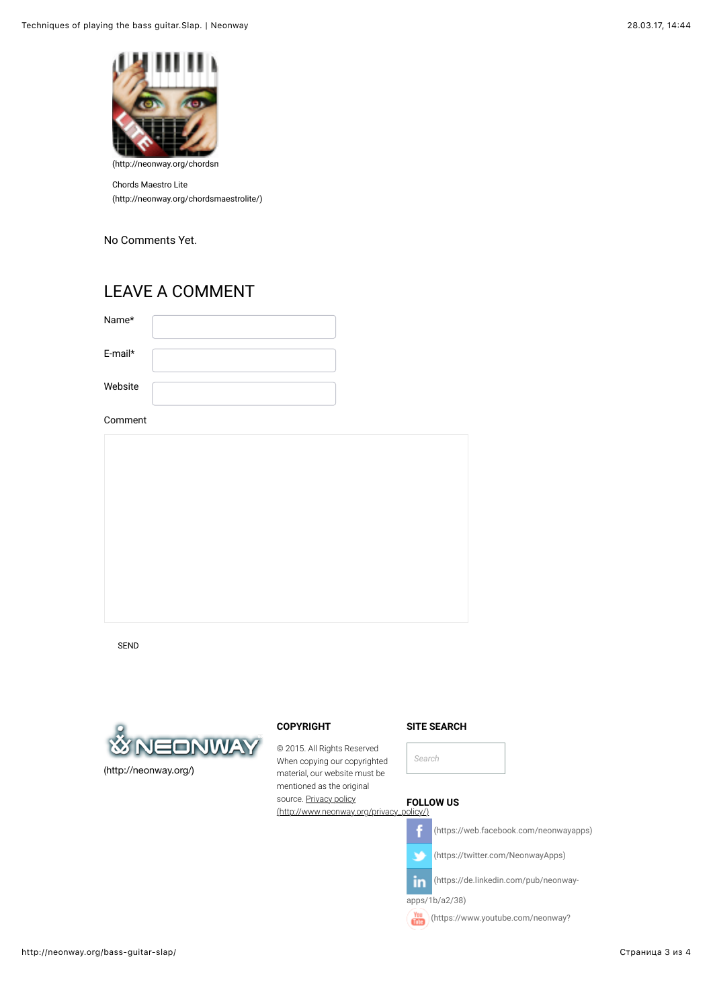

Chords Maestro Lite [\(http://neonway.org/chordsmaestrolite/\)](http://neonway.org/chordsmaestrolite/)

No Comments Yet.

### LEAVE A COMMENT

| Name*      |  |
|------------|--|
| $E$ -mail* |  |
| Website    |  |

Comment

SEND



## **COPYRIGHT**

© 2015. All Rights Reserved When copying our copyrighted material, our website must be mentioned as the original source. Privacy policy [\(http://www.neonway.org/privacy\\_policy/\)](http://www.neonway.org/privacy_policy/) **FOLLOW US**









f

(https://twitter.com/NeonwayApps)

(https://de.linkedin.com/pub/neonwayin

apps/1b/a2/38)

 $\binom{\text{You}}{\text{full}}$  (https://www.youtube.com/neonway?